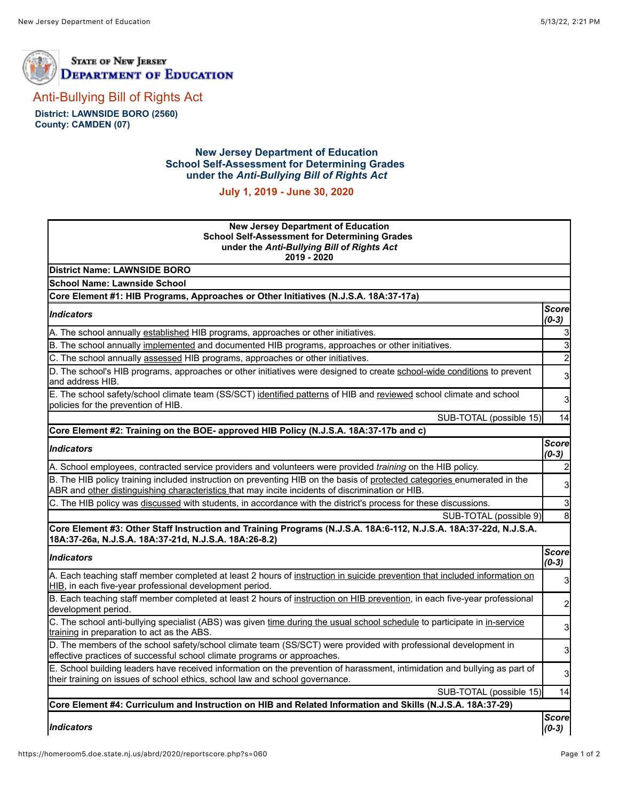



[Anti-Bullying Bill of Rights Act](https://homeroom5.doe.state.nj.us/abrd/)

**District: LAWNSIDE BORO (2560) County: CAMDEN (07)**

## **New Jersey Department of Education School Self-Assessment for Determining Grades under the** *Anti-Bullying Bill of Rights Act*

**July 1, 2019 - June 30, 2020**

| <b>New Jersey Department of Education</b><br><b>School Self-Assessment for Determining Grades</b><br>under the Anti-Bullying Bill of Rights Act<br>2019 - 2020                                                               |                         |
|------------------------------------------------------------------------------------------------------------------------------------------------------------------------------------------------------------------------------|-------------------------|
| <b>District Name: LAWNSIDE BORO</b>                                                                                                                                                                                          |                         |
| <b>School Name: Lawnside School</b>                                                                                                                                                                                          |                         |
| Core Element #1: HIB Programs, Approaches or Other Initiatives (N.J.S.A. 18A:37-17a)                                                                                                                                         |                         |
| <b>Indicators</b>                                                                                                                                                                                                            | <b>Score</b><br>$(0-3)$ |
| A. The school annually established HIB programs, approaches or other initiatives.                                                                                                                                            | $\mathbf{3}$            |
| B. The school annually implemented and documented HIB programs, approaches or other initiatives.                                                                                                                             | $\overline{3}$          |
| C. The school annually assessed HIB programs, approaches or other initiatives.                                                                                                                                               | $\overline{2}$          |
| D. The school's HIB programs, approaches or other initiatives were designed to create school-wide conditions to prevent<br>and address HIB.                                                                                  | 3                       |
| E. The school safety/school climate team (SS/SCT) identified patterns of HIB and reviewed school climate and school<br>policies for the prevention of HIB.                                                                   | 3                       |
| SUB-TOTAL (possible 15)                                                                                                                                                                                                      | 14                      |
| Core Element #2: Training on the BOE- approved HIB Policy (N.J.S.A. 18A:37-17b and c)                                                                                                                                        |                         |
| <b>Indicators</b>                                                                                                                                                                                                            | <b>Score</b><br>$(0-3)$ |
| A. School employees, contracted service providers and volunteers were provided training on the HIB policy.                                                                                                                   | $\mathbf{2}$            |
| B. The HIB policy training included instruction on preventing HIB on the basis of protected categories enumerated in the<br>ABR and other distinguishing characteristics that may incite incidents of discrimination or HIB. | 3                       |
| C. The HIB policy was discussed with students, in accordance with the district's process for these discussions.                                                                                                              | $\mathbf{3}$            |
| SUB-TOTAL (possible 9)                                                                                                                                                                                                       | $\infty$                |
| Core Element #3: Other Staff Instruction and Training Programs (N.J.S.A. 18A:6-112, N.J.S.A. 18A:37-22d, N.J.S.A.<br>18A:37-26a, N.J.S.A. 18A:37-21d, N.J.S.A. 18A:26-8.2)                                                   |                         |
| <b>Indicators</b>                                                                                                                                                                                                            | <b>Score</b><br>$(0-3)$ |
| A. Each teaching staff member completed at least 2 hours of instruction in suicide prevention that included information on<br>HIB, in each five-year professional development period.                                        | 3 <sub>l</sub>          |
| B. Each teaching staff member completed at least 2 hours of instruction on HIB prevention, in each five-year professional<br>development period.                                                                             | 2                       |
| C. The school anti-bullying specialist (ABS) was given time during the usual school schedule to participate in in-service<br>training in preparation to act as the ABS.                                                      | 3                       |
| D. The members of the school safety/school climate team (SS/SCT) were provided with professional development in<br>effective practices of successful school climate programs or approaches.                                  | 3                       |
| E. School building leaders have received information on the prevention of harassment, intimidation and bullying as part of<br>their training on issues of school ethics, school law and school governance.                   | 3                       |
| SUB-TOTAL (possible 15)                                                                                                                                                                                                      | 14                      |
| Core Element #4: Curriculum and Instruction on HIB and Related Information and Skills (N.J.S.A. 18A:37-29)                                                                                                                   |                         |
| <b>Indicators</b>                                                                                                                                                                                                            | <b>Score</b><br>$(0-3)$ |